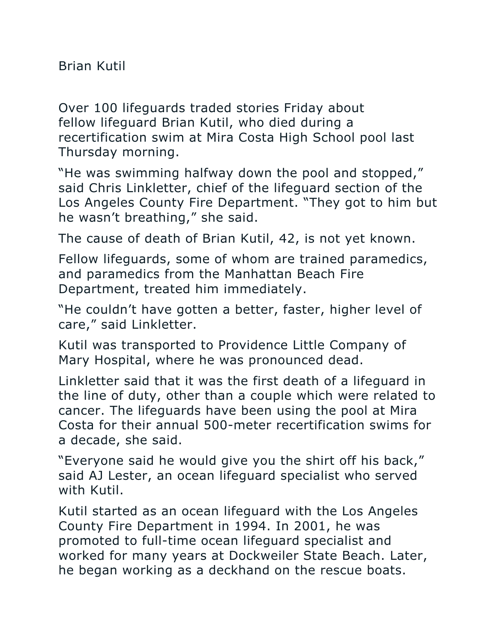Brian Kutil

Over 100 lifeguards traded stories Friday about fellow lifeguard Brian Kutil, who died during a recertification swim at Mira Costa High School pool last Thursday morning.

"He was swimming halfway down the pool and stopped," said Chris Linkletter, chief of the lifeguard section of the Los Angeles County Fire Department. "They got to him but he wasn't breathing," she said.

The cause of death of Brian Kutil, 42, is not yet known.

Fellow lifeguards, some of whom are trained paramedics, and paramedics from the Manhattan Beach Fire Department, treated him immediately.

"He couldn't have gotten a better, faster, higher level of care," said Linkletter.

Kutil was transported to Providence Little Company of Mary Hospital, where he was pronounced dead.

Linkletter said that it was the first death of a lifeguard in the line of duty, other than a couple which were related to cancer. The lifeguards have been using the pool at Mira Costa for their annual 500-meter recertification swims for a decade, she said.

"Everyone said he would give you the shirt off his back," said AJ Lester, an ocean lifeguard specialist who served with Kutil.

Kutil started as an ocean lifeguard with the Los Angeles County Fire Department in 1994. In 2001, he was promoted to full-time ocean lifeguard specialist and worked for many years at Dockweiler State Beach. Later, he began working as a deckhand on the rescue boats.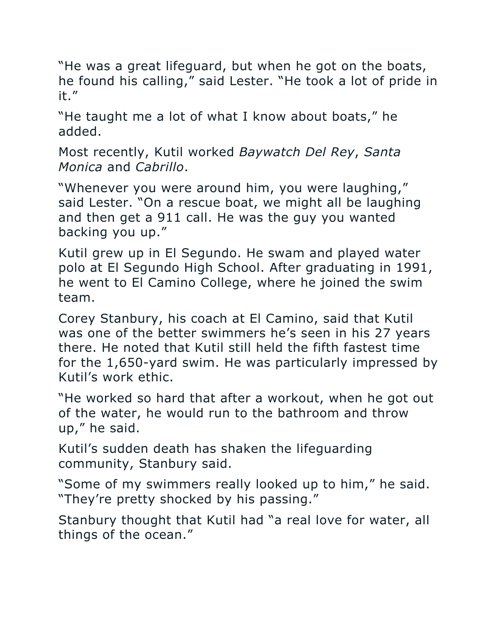"He was a great lifeguard, but when he got on the boats, he found his calling," said Lester. "He took a lot of pride in it."

"He taught me a lot of what I know about boats," he added.

Most recently, Kutil worked *Baywatch Del Rey*, *Santa Monica* and *Cabrillo*.

"Whenever you were around him, you were laughing," said Lester. "On a rescue boat, we might all be laughing and then get a 911 call. He was the guy you wanted backing you up."

Kutil grew up in El Segundo. He swam and played water polo at El Segundo High School. After graduating in 1991, he went to El Camino College, where he joined the swim team.

Corey Stanbury, his coach at El Camino, said that Kutil was one of the better swimmers he's seen in his 27 years there. He noted that Kutil still held the fifth fastest time for the 1,650-yard swim. He was particularly impressed by Kutil's work ethic.

"He worked so hard that after a workout, when he got out of the water, he would run to the bathroom and throw up," he said.

Kutil's sudden death has shaken the lifeguarding community, Stanbury said.

"Some of my swimmers really looked up to him," he said. "They're pretty shocked by his passing."

Stanbury thought that Kutil had "a real love for water, all things of the ocean."